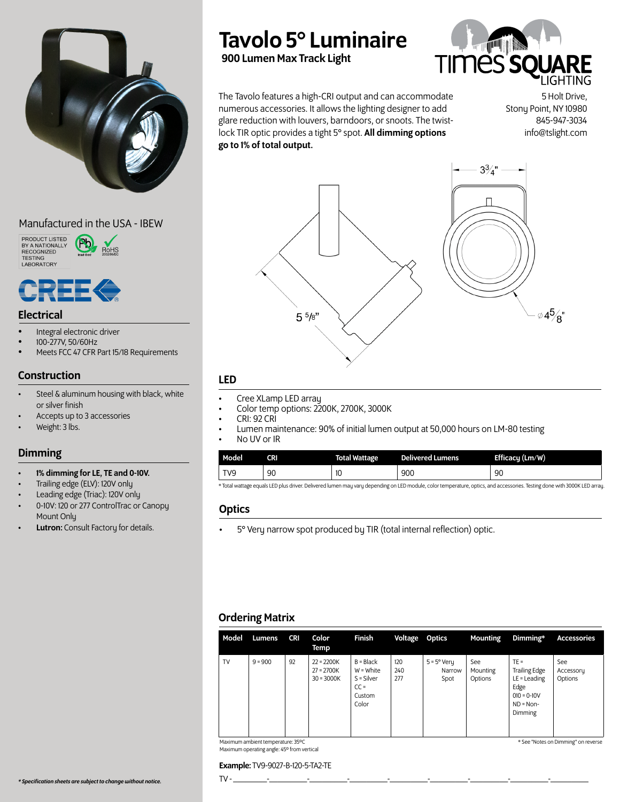

# Manufactured in the USA - IBEW







# Electrical

- Integral electronic driver
- 100-277V, 50/60Hz
- Meets FCC 47 CFR Part 15/18 Requirements

# Construction

- Steel & aluminum housing with black, white or silver finish
- Accepts up to 3 accessories
- Weight: 3 lbs.

### Dimming

- 1% dimming for LE, TE and 0-10V.
- Trailing edge (ELV): 120V only
- Leading edge (Triac): 120V only
- 0-10V: 120 or 277 ControlTrac or Canopy Mount Only
- Lutron: Consult Factory for details.

# Tavolo 5° Luminaire

900 Lumen Max Track Light



The Tavolo features a high-CRI output and can accommodate numerous accessories. It allows the lighting designer to add glare reduction with louvers, barndoors, or snoots. The twistlock TIR optic provides a tight 5° spot. All dimming options go to 1% of total output.

5 Holt Drive, Stony Point, NY 10980 845-947-3034 info@tslight.com



# LED

- 
- 
- 
- Free XLamp LED array<br>• Color temp options: 2200K, 2700K, 3000K<br>• CRI: 92 CRI<br>• Lumen maintenance: 90% of initial lumen output at 50,000 hours on LM-80 testing<br>• No UV or IR
- 

| Model           | <b>CRI</b> | <b>Total Wattage</b> | <b>Delivered Lumens</b> | Efficacy (Lm/W)                                                                                                                                                                                                                    |
|-----------------|------------|----------------------|-------------------------|------------------------------------------------------------------------------------------------------------------------------------------------------------------------------------------------------------------------------------|
| TV <sub>9</sub> | 90         | 10                   | 900                     | 90                                                                                                                                                                                                                                 |
|                 |            |                      |                         | the contract of the contract of the contract of the contract of the contract of the contract of the contract of<br>the contract of the contract of the contract of the contract of the contract of the contract of the contract of |

\* Total wattage equals LED plus driver. Delivered lumen may vary depending on LED module, color temperature, optics, and accessories. Testing done with 3000K LED array.

### **Optics**

• 5° Very narrow spot produced by TIR (total internal reflection) optic.

# Ordering Matrix

| Model | Lumens    | <b>CRI</b> | Color<br>Temp                                | Finish                                                                | Voltage Optics    |                                        | <b>Mounting</b>            | Dimming*                                                                                              | <b>Accessories</b>          |
|-------|-----------|------------|----------------------------------------------|-----------------------------------------------------------------------|-------------------|----------------------------------------|----------------------------|-------------------------------------------------------------------------------------------------------|-----------------------------|
| TV    | $9 = 900$ | 92         | $22 = 2200K$<br>$27 = 2700K$<br>$30 = 3000K$ | $B = Black$<br>W = White<br>$S = Silver$<br>$CC =$<br>Custom<br>Color | 120<br>240<br>277 | $5 = 5^{\circ}$ Very<br>Narrow<br>Spot | See<br>Mounting<br>Options | $TE =$<br><b>Trailing Edge</b><br>$LE =$ Leading<br>Edge<br>$010 = 0 - 10V$<br>$ND = Non-$<br>Dimming | See<br>Accessory<br>Options |

TV - \_\_\_\_\_\_\_\_-\_\_\_\_\_\_\_\_\_-\_\_\_\_\_\_\_\_\_-\_\_\_\_\_\_\_\_\_-\_\_\_\_\_\_\_\_\_-\_\_\_\_\_\_\_\_\_-\_\_\_\_\_\_\_\_\_-\_\_\_\_\_\_\_\_\_-\_\_\_\_\_\_\_\_\_

Maximum ambient temperature: 35ºC Maximum operating angle: 45º from vertical

#### \* See "Notes on Dimming" on reverse

Example: TV9-9027-B-120-5-TA2-TE